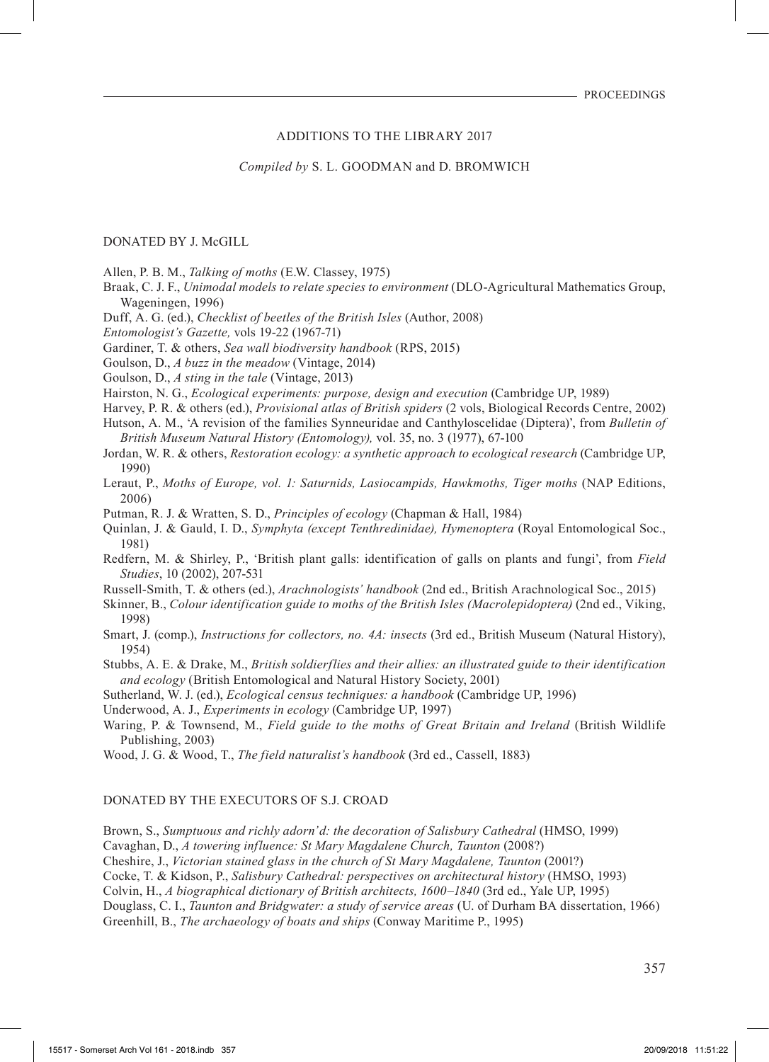### ADDITIONS TO THE LIBRARY 2017

*Compiled by* S. L. GOODMAN and D. BROMWICH

### DONATED BY J. McGILL

Allen, P. B. M., *Talking of moths* (E.W. Classey, 1975)

- Braak, C. J. F., *Unimodal models to relate species to environment* (DLO-Agricultural Mathematics Group, Wageningen, 1996)
- Duff, A. G. (ed.), *Checklist of beetles of the British Isles* (Author, 2008)
- *Entomologist's Gazette,* vols 19-22 (1967-71)
- Gardiner, T. & others, *Sea wall biodiversity handbook* (RPS, 2015)
- Goulson, D., *A buzz in the meadow* (Vintage, 2014)
- Goulson, D., *A sting in the tale* (Vintage, 2013)
- Hairston, N. G., *Ecological experiments: purpose, design and execution* (Cambridge UP, 1989)
- Harvey, P. R. & others (ed.), *Provisional atlas of British spiders* (2 vols, Biological Records Centre, 2002)
- Hutson, A. M., 'A revision of the families Synneuridae and Canthyloscelidae (Diptera)', from *Bulletin of British Museum Natural History (Entomology),* vol. 35, no. 3 (1977), 67-100
- Jordan, W. R. & others, *Restoration ecology: a synthetic approach to ecological research* (Cambridge UP, 1990)
- Leraut, P., *Moths of Europe, vol. 1: Saturnids, Lasiocampids, Hawkmoths, Tiger moths* (NAP Editions, 2006)
- Putman, R. J. & Wratten, S. D., *Principles of ecology* (Chapman & Hall, 1984)
- Quinlan, J. & Gauld, I. D., *Symphyta (except Tenthredinidae), Hymenoptera* (Royal Entomological Soc., 1981)
- Redfern, M. & Shirley, P., 'British plant galls: identification of galls on plants and fungi', from *Field Studies*, 10 (2002), 207-531
- Russell-Smith, T. & others (ed.), *Arachnologists' handbook* (2nd ed., British Arachnological Soc., 2015)
- Skinner, B., *Colour identification guide to moths of the British Isles (Macrolepidoptera)* (2nd ed., Viking, 1998)
- Smart, J. (comp.), *Instructions for collectors, no. 4A: insects* (3rd ed., British Museum (Natural History), 1954)
- Stubbs, A. E. & Drake, M., *British soldierflies and their allies: an illustrated guide to their identification and ecology* (British Entomological and Natural History Society, 2001)
- Sutherland, W. J. (ed.), *Ecological census techniques: a handbook* (Cambridge UP, 1996)
- Underwood, A. J., *Experiments in ecology* (Cambridge UP, 1997)
- Waring, P. & Townsend, M., *Field guide to the moths of Great Britain and Ireland* (British Wildlife Publishing, 2003)
- Wood, J. G. & Wood, T., *The field naturalist's handbook* (3rd ed., Cassell, 1883)

## DONATED BY THE EXECUTORS OF S.J. CROAD

Brown, S., *Sumptuous and richly adorn'd: the decoration of Salisbury Cathedral* (HMSO, 1999)

Cavaghan, D., *A towering influence: St Mary Magdalene Church, Taunton* (2008?)

Cheshire, J., *Victorian stained glass in the church of St Mary Magdalene, Taunton* (2001?)

Cocke, T. & Kidson, P., *Salisbury Cathedral: perspectives on architectural history* (HMSO, 1993)

Colvin, H., *A biographical dictionary of British architects, 1600–1840* (3rd ed., Yale UP, 1995)

Douglass, C. I., *Taunton and Bridgwater: a study of service areas* (U. of Durham BA dissertation, 1966) Greenhill, B., *The archaeology of boats and ships* (Conway Maritime P., 1995)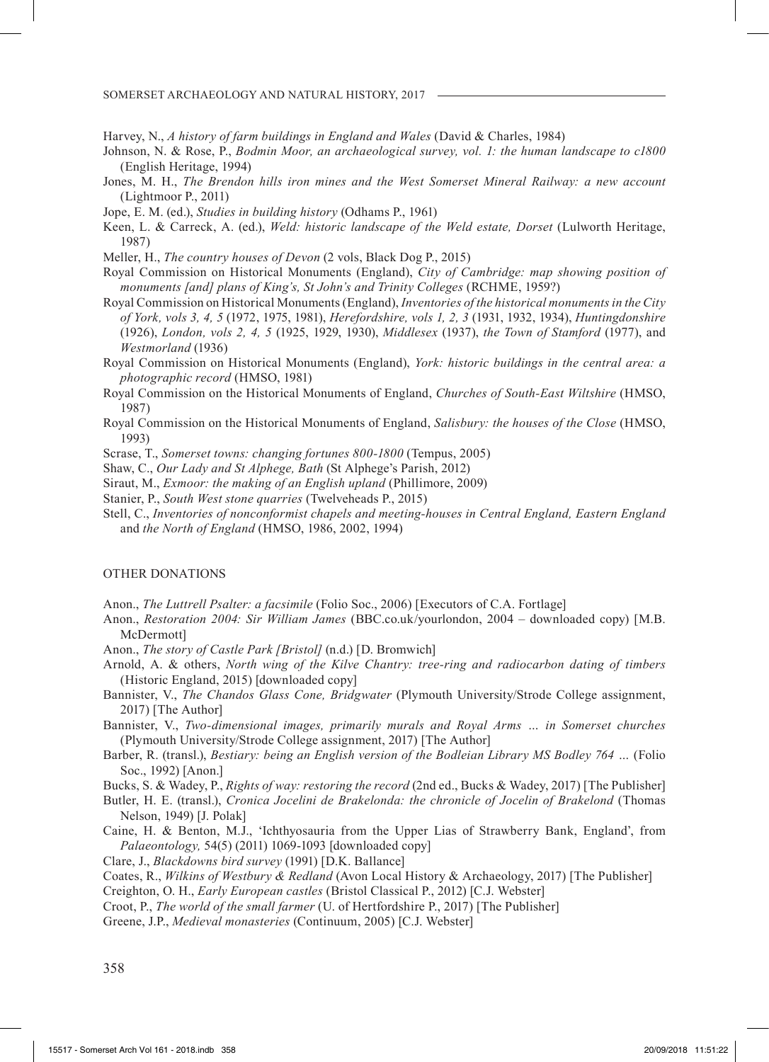SOMERSET ARCHAEOLOGY AND NATURAL HISTORY, 2017

Harvey, N., *A history of farm buildings in England and Wales* (David & Charles, 1984)

- Johnson, N. & Rose, P., *Bodmin Moor, an archaeological survey, vol. 1: the human landscape to c1800*  (English Heritage, 1994)
- Jones, M. H., *The Brendon hills iron mines and the West Somerset Mineral Railway: a new account*  (Lightmoor P., 2011)
- Jope, E. M. (ed.), *Studies in building history* (Odhams P., 1961)
- Keen, L. & Carreck, A. (ed.), *Weld: historic landscape of the Weld estate, Dorset* (Lulworth Heritage, 1987)
- Meller, H., *The country houses of Devon* (2 vols, Black Dog P., 2015)
- Royal Commission on Historical Monuments (England), *City of Cambridge: map showing position of monuments [and] plans of King's, St John's and Trinity Colleges* (RCHME, 1959?)
- Royal Commission on Historical Monuments (England), *Inventories of the historical monuments in the City of York, vols 3, 4, 5* (1972, 1975, 1981), *Herefordshire, vols 1, 2, 3* (1931, 1932, 1934), *Huntingdonshire*  (1926), *London, vols 2, 4, 5* (1925, 1929, 1930), *Middlesex* (1937), *the Town of Stamford* (1977), and *Westmorland* (1936)
- Royal Commission on Historical Monuments (England), *York: historic buildings in the central area: a photographic record* (HMSO, 1981)
- Royal Commission on the Historical Monuments of England, *Churches of South-East Wiltshire* (HMSO, 1987)
- Royal Commission on the Historical Monuments of England, *Salisbury: the houses of the Close* (HMSO, 1993)
- Scrase, T., *Somerset towns: changing fortunes 800-1800* (Tempus, 2005)
- Shaw, C., *Our Lady and St Alphege, Bath* (St Alphege's Parish, 2012)
- Siraut, M., *Exmoor: the making of an English upland* (Phillimore, 2009)
- Stanier, P., *South West stone quarries* (Twelveheads P., 2015)
- Stell, C., *Inventories of nonconformist chapels and meeting-houses in Central England, Eastern England* and *the North of England* (HMSO, 1986, 2002, 1994)

# OTHER DONATIONS

- Anon., *The Luttrell Psalter: a facsimile* (Folio Soc., 2006) [Executors of C.A. Fortlage]
- Anon., *Restoration 2004: Sir William James* (BBC.co.uk/yourlondon, 2004 downloaded copy) [M.B. McDermott]
- Anon., *The story of Castle Park [Bristol]* (n.d.) [D. Bromwich]
- Arnold, A. & others, *North wing of the Kilve Chantry: tree-ring and radiocarbon dating of timbers*  (Historic England, 2015) [downloaded copy]
- Bannister, V., *The Chandos Glass Cone, Bridgwater* (Plymouth University/Strode College assignment, 2017) [The Author]
- Bannister, V., *Two-dimensional images, primarily murals and Royal Arms … in Somerset churches*  (Plymouth University/Strode College assignment, 2017) [The Author]
- Barber, R. (transl.), *Bestiary: being an English version of the Bodleian Library MS Bodley 764 …* (Folio Soc., 1992) [Anon.]

Bucks, S. & Wadey, P., *Rights of way: restoring the record* (2nd ed., Bucks & Wadey, 2017) [The Publisher]

- Butler, H. E. (transl.), *Cronica Jocelini de Brakelonda: the chronicle of Jocelin of Brakelond* (Thomas Nelson, 1949) [J. Polak]
- Caine, H. & Benton, M.J., 'Ichthyosauria from the Upper Lias of Strawberry Bank, England', from *Palaeontology,* 54(5) (2011) 1069-1093 [downloaded copy]

Clare, J., *Blackdowns bird survey* (1991) [D.K. Ballance]

Coates, R., *Wilkins of Westbury & Redland* (Avon Local History & Archaeology, 2017) [The Publisher]

Creighton, O. H., *Early European castles* (Bristol Classical P., 2012) [C.J. Webster]

Croot, P., *The world of the small farmer* (U. of Hertfordshire P., 2017) [The Publisher]

Greene, J.P., *Medieval monasteries* (Continuum, 2005) [C.J. Webster]

358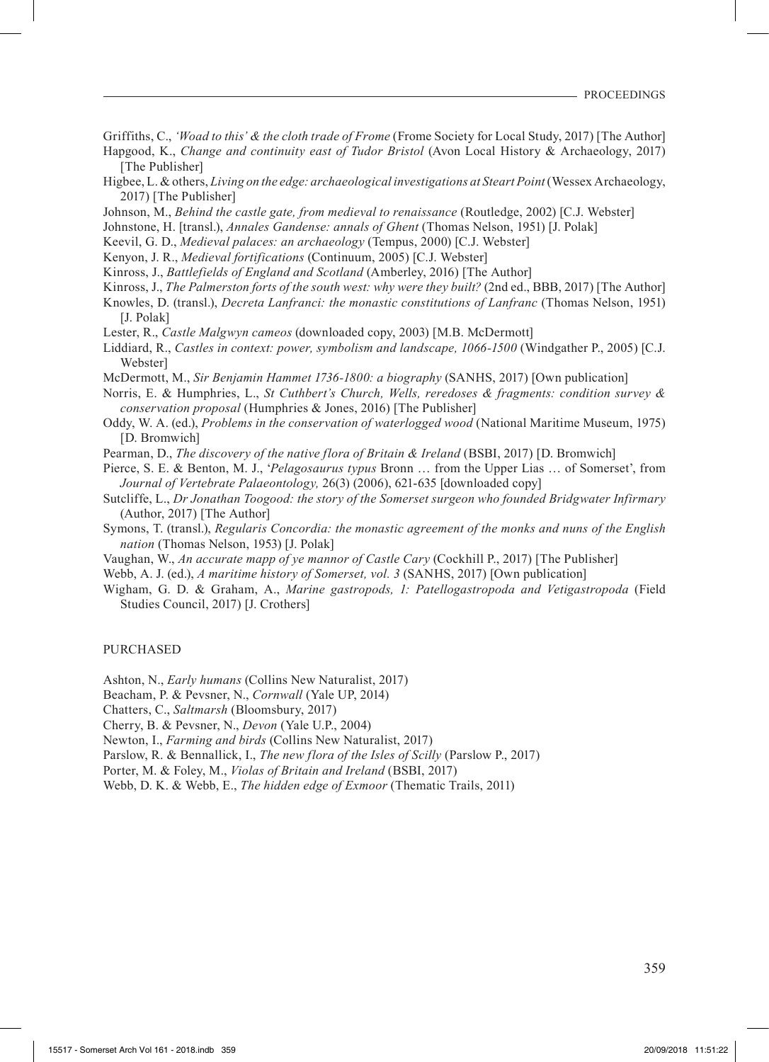Griffiths, C., *'Woad to this' & the cloth trade of Frome* (Frome Society for Local Study, 2017) [The Author]

Hapgood, K., *Change and continuity east of Tudor Bristol* (Avon Local History & Archaeology, 2017) [The Publisher]

- Higbee, L. & others, *Living on the edge: archaeological investigations at Steart Point* (Wessex Archaeology, 2017) [The Publisher]
- Johnson, M., *Behind the castle gate, from medieval to renaissance* (Routledge, 2002) [C.J. Webster]

Johnstone, H. [transl.), *Annales Gandense: annals of Ghent* (Thomas Nelson, 1951) [J. Polak]

Keevil, G. D., *Medieval palaces: an archaeology* (Tempus, 2000) [C.J. Webster]

Kenyon, J. R., *Medieval fortifications* (Continuum, 2005) [C.J. Webster]

Kinross, J., *Battlefields of England and Scotland* (Amberley, 2016) [The Author]

Kinross, J., *The Palmerston forts of the south west: why were they built?* (2nd ed., BBB, 2017) [The Author]

- Knowles, D. (transl.), *Decreta Lanfranci: the monastic constitutions of Lanfranc* (Thomas Nelson, 1951) [J. Polak]
- Lester, R., *Castle Malgwyn cameos* (downloaded copy, 2003) [M.B. McDermott]
- Liddiard, R., *Castles in context: power, symbolism and landscape, 1066-1500* (Windgather P., 2005) [C.J. Webster]

McDermott, M., *Sir Benjamin Hammet 1736-1800: a biography* (SANHS, 2017) [Own publication]

Norris, E. & Humphries, L., *St Cuthbert's Church, Wells, reredoses & fragments: condition survey & conservation proposal* (Humphries & Jones, 2016) [The Publisher]

- Oddy, W. A. (ed.), *Problems in the conservation of waterlogged wood* (National Maritime Museum, 1975) [D. Bromwich]
- Pearman, D., *The discovery of the native flora of Britain & Ireland* (BSBI, 2017) [D. Bromwich]

Pierce, S. E. & Benton, M. J., '*Pelagosaurus typus* Bronn … from the Upper Lias … of Somerset', from *Journal of Vertebrate Palaeontology,* 26(3) (2006), 621-635 [downloaded copy]

- Sutcliffe, L., *Dr Jonathan Toogood: the story of the Somerset surgeon who founded Bridgwater Infirmary*  (Author, 2017) [The Author]
- Symons, T. (transl.), *Regularis Concordia: the monastic agreement of the monks and nuns of the English nation* (Thomas Nelson, 1953) [J. Polak]
- Vaughan, W., *An accurate mapp of ye mannor of Castle Cary* (Cockhill P., 2017) [The Publisher]
- Webb, A. J. (ed.), *A maritime history of Somerset, vol. 3* (SANHS, 2017) [Own publication]
- Wigham, G. D. & Graham, A., *Marine gastropods, 1: Patellogastropoda and Vetigastropoda* (Field Studies Council, 2017) [J. Crothers]

### PURCHASED

Ashton, N., *Early humans* (Collins New Naturalist, 2017)

- Beacham, P. & Pevsner, N., *Cornwall* (Yale UP, 2014)
- Chatters, C., *Saltmarsh* (Bloomsbury, 2017)
- Cherry, B. & Pevsner, N., *Devon* (Yale U.P., 2004)

Newton, I., *Farming and birds* (Collins New Naturalist, 2017)

- Parslow, R. & Bennallick, I., *The new flora of the Isles of Scilly* (Parslow P., 2017)
- Porter, M. & Foley, M., *Violas of Britain and Ireland* (BSBI, 2017)

Webb, D. K. & Webb, E., *The hidden edge of Exmoor* (Thematic Trails, 2011)